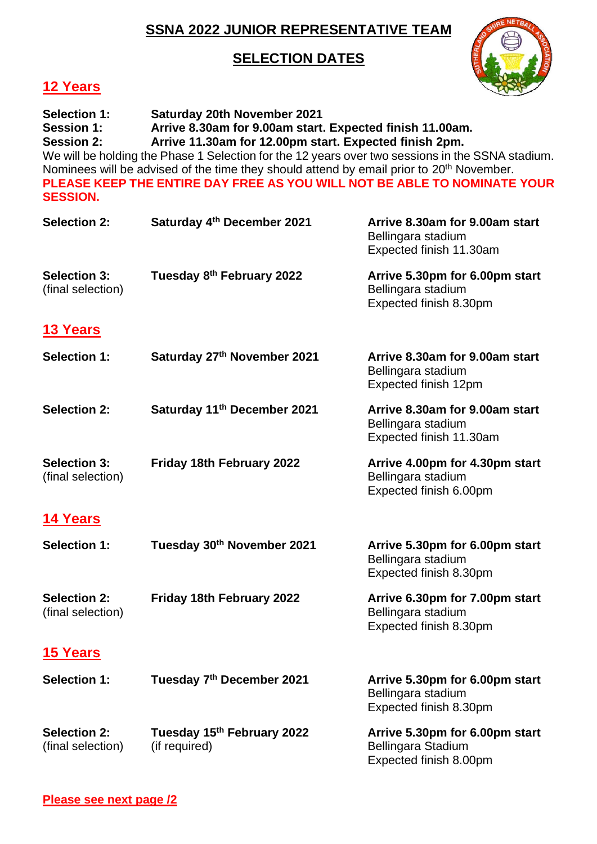## **SSNA 2022 JUNIOR REPRESENTATIVE TEAM**

## **SELECTION DATES**



## **12 Years**

| <b>Selection 1:</b><br><b>Saturday 20th November 2021</b><br>Arrive 8.30am for 9.00am start. Expected finish 11.00am.<br><b>Session 1:</b><br>Arrive 11.30am for 12.00pm start. Expected finish 2pm.<br><b>Session 2:</b><br>We will be holding the Phase 1 Selection for the 12 years over two sessions in the SSNA stadium.<br>Nominees will be advised of the time they should attend by email prior to 20 <sup>th</sup> November.<br>PLEASE KEEP THE ENTIRE DAY FREE AS YOU WILL NOT BE ABLE TO NOMINATE YOUR<br><b>SESSION.</b> |                                             |                                                                                 |
|--------------------------------------------------------------------------------------------------------------------------------------------------------------------------------------------------------------------------------------------------------------------------------------------------------------------------------------------------------------------------------------------------------------------------------------------------------------------------------------------------------------------------------------|---------------------------------------------|---------------------------------------------------------------------------------|
| <b>Selection 2:</b>                                                                                                                                                                                                                                                                                                                                                                                                                                                                                                                  | Saturday 4th December 2021                  | Arrive 8.30am for 9.00am start<br>Bellingara stadium<br>Expected finish 11.30am |
| <b>Selection 3:</b><br>(final selection)                                                                                                                                                                                                                                                                                                                                                                                                                                                                                             | Tuesday 8th February 2022                   | Arrive 5.30pm for 6.00pm start<br>Bellingara stadium<br>Expected finish 8.30pm  |
| <b>13 Years</b>                                                                                                                                                                                                                                                                                                                                                                                                                                                                                                                      |                                             |                                                                                 |
| <b>Selection 1:</b>                                                                                                                                                                                                                                                                                                                                                                                                                                                                                                                  | Saturday 27th November 2021                 | Arrive 8.30am for 9.00am start<br>Bellingara stadium<br>Expected finish 12pm    |
| <b>Selection 2:</b>                                                                                                                                                                                                                                                                                                                                                                                                                                                                                                                  | Saturday 11 <sup>th</sup> December 2021     | Arrive 8.30am for 9.00am start<br>Bellingara stadium<br>Expected finish 11.30am |
| <b>Selection 3:</b><br>(final selection)                                                                                                                                                                                                                                                                                                                                                                                                                                                                                             | Friday 18th February 2022                   | Arrive 4.00pm for 4.30pm start<br>Bellingara stadium<br>Expected finish 6.00pm  |
| <b>14 Years</b>                                                                                                                                                                                                                                                                                                                                                                                                                                                                                                                      |                                             |                                                                                 |
| <b>Selection 1:</b>                                                                                                                                                                                                                                                                                                                                                                                                                                                                                                                  | Tuesday 30th November 2021                  | Arrive 5.30pm for 6.00pm start<br>Bellingara stadium<br>Expected finish 8.30pm  |
| <b>Selection 2:</b><br>(final selection)                                                                                                                                                                                                                                                                                                                                                                                                                                                                                             | Friday 18th February 2022                   | Arrive 6.30pm for 7.00pm start<br>Bellingara stadium<br>Expected finish 8.30pm  |
| <b>15 Years</b>                                                                                                                                                                                                                                                                                                                                                                                                                                                                                                                      |                                             |                                                                                 |
| <b>Selection 1:</b>                                                                                                                                                                                                                                                                                                                                                                                                                                                                                                                  | Tuesday 7th December 2021                   | Arrive 5.30pm for 6.00pm start<br>Bellingara stadium<br>Expected finish 8.30pm  |
| <b>Selection 2:</b><br>(final selection)                                                                                                                                                                                                                                                                                                                                                                                                                                                                                             | Tuesday 15th February 2022<br>(if required) | Arrive 5.30pm for 6.00pm start<br>Bellingara Stadium<br>Expected finish 8.00pm  |